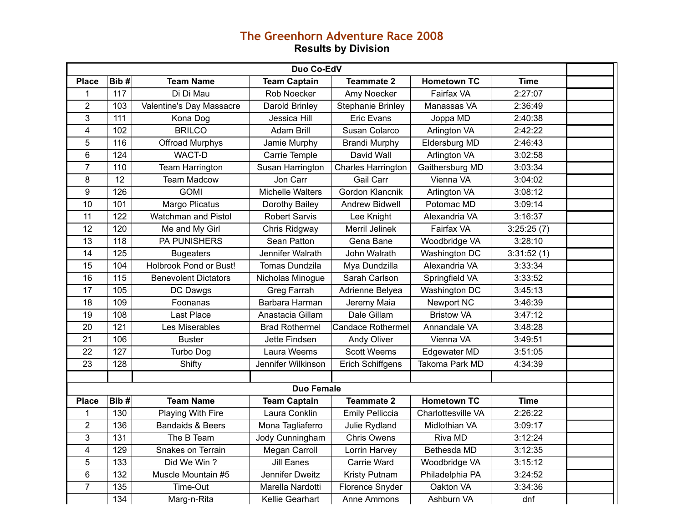## **The Greenhorn Adventure Race 2008 Results by Division**

| Duo Co-EdV              |                   |                             |                         |                           |                    |             |  |
|-------------------------|-------------------|-----------------------------|-------------------------|---------------------------|--------------------|-------------|--|
| <b>Place</b>            | Bib#              | <b>Team Name</b>            | <b>Team Captain</b>     | <b>Teammate 2</b>         | <b>Hometown TC</b> | <b>Time</b> |  |
| 1                       | 117               | Di Di Mau                   | Rob Noecker             | Amy Noecker               | Fairfax VA         | 2:27:07     |  |
| $\overline{2}$          | 103               | Valentine's Day Massacre    | Darold Brinley          | <b>Stephanie Brinley</b>  | Manassas VA        | 2:36:49     |  |
| 3                       | 111               | Kona Dog                    | Jessica Hill            | <b>Eric Evans</b>         | Joppa MD           | 2:40:38     |  |
| $\overline{\mathbf{4}}$ | 102               | <b>BRILCO</b>               | <b>Adam Brill</b>       | Susan Colarco             | Arlington VA       | 2:42:22     |  |
| 5                       | 116               | Offroad Murphys             | Jamie Murphy            | <b>Brandi Murphy</b>      | Eldersburg MD      | 2:46:43     |  |
| 6                       | 124               | WACT-D                      | Carrie Temple           | David Wall                | Arlington VA       | 3:02:58     |  |
| $\overline{7}$          | 110               | Team Harrington             | Susan Harrington        | <b>Charles Harrington</b> | Gaithersburg MD    | 3:03:34     |  |
| 8                       | 12                | <b>Team Madcow</b>          | Jon Carr                | <b>Gail Carr</b>          | Vienna VA          | 3:04:02     |  |
| 9                       | 126               | <b>GOMI</b>                 | <b>Michelle Walters</b> | Gordon Klancnik           | Arlington VA       | 3:08:12     |  |
| 10                      | 101               | Margo Plicatus              | Dorothy Bailey          | <b>Andrew Bidwell</b>     | Potomac MD         | 3:09:14     |  |
| 11                      | 122               | Watchman and Pistol         | <b>Robert Sarvis</b>    | Lee Knight                | Alexandria VA      | 3:16:37     |  |
| 12                      | 120               | Me and My Girl              | Chris Ridgway           | Merril Jelinek            | Fairfax VA         | 3:25:25(7)  |  |
| $\overline{13}$         | 118               | <b>PA PUNISHERS</b>         | Sean Patton             | Gena Bane                 | Woodbridge VA      | 3:28:10     |  |
| 14                      | 125               | <b>Bugeaters</b>            | Jennifer Walrath        | John Walrath              | Washington DC      | 3:31:52(1)  |  |
| 15                      | 104               | Holbrook Pond or Bust!      | <b>Tomas Dundzila</b>   | Mya Dundzilla             | Alexandria VA      | 3:33:34     |  |
| 16                      | $\frac{115}{115}$ | <b>Benevolent Dictators</b> | Nicholas Minogue        | Sarah Carlson             | Springfield VA     | 3:33:52     |  |
| 17                      | 105               | DC Dawgs                    | Greg Farrah             | Adrienne Belyea           | Washington DC      | 3:45:13     |  |
| 18                      | 109               | Foonanas                    | Barbara Harman          | Jeremy Maia               | Newport NC         | 3:46:39     |  |
| 19                      | 108               | Last Place                  | Anastacia Gillam        | Dale Gillam               | <b>Bristow VA</b>  | 3:47:12     |  |
| 20                      | 121               | Les Miserables              | <b>Brad Rothermel</b>   | <b>Candace Rothermel</b>  | Annandale VA       | 3:48:28     |  |
| 21                      | 106               | <b>Buster</b>               | Jette Findsen           | Andy Oliver               | Vienna VA          | 3:49:51     |  |
| 22                      | 127               | <b>Turbo Dog</b>            | Laura Weems             | <b>Scott Weems</b>        | Edgewater MD       | 3:51:05     |  |
| $\overline{23}$         | 128               | Shifty                      | Jennifer Wilkinson      | <b>Erich Schiffgens</b>   | Takoma Park MD     | 4:34:39     |  |
|                         |                   |                             |                         |                           |                    |             |  |
|                         |                   |                             | <b>Duo Female</b>       |                           |                    |             |  |
| <b>Place</b>            | Bib#              | <b>Team Name</b>            | <b>Team Captain</b>     | <b>Teammate 2</b>         | <b>Hometown TC</b> | <b>Time</b> |  |
| 1                       | 130               | Playing With Fire           | Laura Conklin           | <b>Emily Pelliccia</b>    | Charlottesville VA | 2:26:22     |  |
| 2                       | 136               | <b>Bandaids &amp; Beers</b> | Mona Tagliaferro        | Julie Rydland             | Midlothian VA      | 3:09:17     |  |
| 3                       | 131               | The B Team                  | Jody Cunningham         | <b>Chris Owens</b>        | Riva MD            | 3:12:24     |  |
| $\overline{\mathbf{4}}$ | 129               | Snakes on Terrain           | Megan Carroll           | Lorrin Harvey             | Bethesda MD        | 3:12:35     |  |
| 5                       | 133               | Did We Win?                 | <b>Jill Eanes</b>       | Carrie Ward               | Woodbridge VA      | 3:15:12     |  |
| 6                       | 132               | Muscle Mountain #5          | Jennifer Dweitz         | Kristy Putnam             | Philadelphia PA    | 3:24:52     |  |
| $\overline{7}$          | 135               | Time-Out                    | Marella Nardotti        | Florence Snyder           | Oakton VA          | 3:34:36     |  |
|                         | 134               | Marg-n-Rita                 | Kellie Gearhart         | Anne Ammons               | Ashburn VA         | dnf         |  |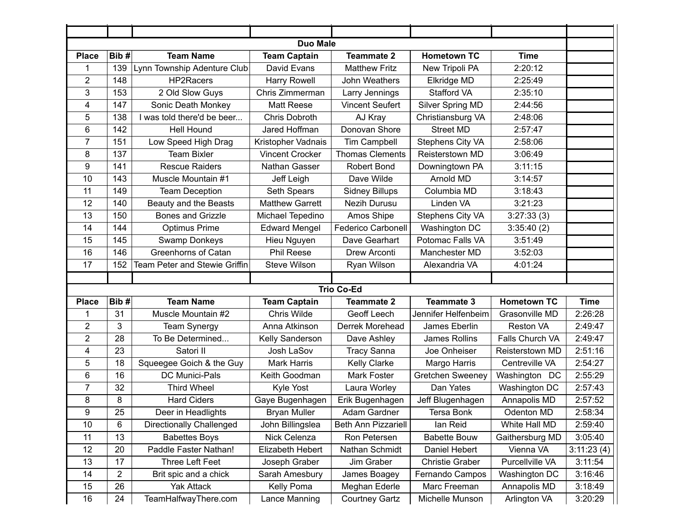| <b>Duo Male</b> |                 |                                 |                        |                        |                         |                    |             |
|-----------------|-----------------|---------------------------------|------------------------|------------------------|-------------------------|--------------------|-------------|
| <b>Place</b>    | Bib#            | <b>Team Name</b>                | <b>Team Captain</b>    | <b>Teammate 2</b>      | <b>Hometown TC</b>      | <b>Time</b>        |             |
| 1               | 139             | Lynn Township Adenture Club     | David Evans            | <b>Matthew Fritz</b>   | New Tripoli PA          | 2:20:12            |             |
| 2               | 148             | HP2Racers                       | <b>Harry Rowell</b>    | John Weathers          | Elkridge MD             | 2:25:49            |             |
| 3               | 153             | 2 Old Slow Guys                 | Chris Zimmerman        | Larry Jennings         | Stafford VA             | 2:35:10            |             |
| 4               | 147             | Sonic Death Monkey              | <b>Matt Reese</b>      | <b>Vincent Seufert</b> | Silver Spring MD        | 2:44:56            |             |
| 5               | 138             | was told there'd be beer        | Chris Dobroth          | AJ Kray                | Christiansburg VA       | 2:48:06            |             |
| 6               | 142             | <b>Hell Hound</b>               | Jared Hoffman          | Donovan Shore          | <b>Street MD</b>        | 2:57:47            |             |
| 7               | 151             | Low Speed High Drag             | Kristopher Vadnais     | <b>Tim Campbell</b>    | Stephens City VA        | 2:58:06            |             |
| 8               | 137             | <b>Team Bixler</b>              | <b>Vincent Crocker</b> | <b>Thomas Clements</b> | Reisterstown MD         | 3:06:49            |             |
| 9               | 141             | <b>Rescue Raiders</b>           | Nathan Gasser          | Robert Bond            | Downingtown PA          | 3:11:15            |             |
| 10              | 143             | Muscle Mountain #1              | Jeff Leigh             | Dave Wilde             | Arnold MD               | 3:14:57            |             |
| 11              | 149             | <b>Team Deception</b>           | Seth Spears            | <b>Sidney Billups</b>  | Columbia MD             | 3:18:43            |             |
| 12              | 140             | Beauty and the Beasts           | <b>Matthew Garrett</b> | Nezih Durusu           | Linden VA               | 3:21:23            |             |
| 13              | 150             | <b>Bones and Grizzle</b>        | Michael Tepedino       | Amos Shipe             | Stephens City VA        | 3:27:33(3)         |             |
| 14              | 144             | <b>Optimus Prime</b>            | <b>Edward Mengel</b>   | Federico Carbonell     | Washington DC           | 3:35:40(2)         |             |
| 15              | 145             | Swamp Donkeys                   | Hieu Nguyen            | Dave Gearhart          | Potomac Falls VA        | 3:51:49            |             |
| 16              | 146             | <b>Greenhorns of Catan</b>      | <b>Phil Reese</b>      | Drew Arconti           | Manchester MD           | 3:52:03            |             |
| 17              | 152             | Team Peter and Stewie Griffin   | Steve Wilson           | Ryan Wilson            | Alexandria VA           | 4:01:24            |             |
|                 |                 |                                 |                        |                        |                         |                    |             |
|                 |                 |                                 |                        | <b>Trio Co-Ed</b>      |                         |                    |             |
| <b>Place</b>    | Bib#            | <b>Team Name</b>                | <b>Team Captain</b>    | <b>Teammate 2</b>      | <b>Teammate 3</b>       | <b>Hometown TC</b> | <b>Time</b> |
| 1               | 31              | Muscle Mountain #2              | Chris Wilde            | Geoff Leech            | Jennifer Helfenbeim     | Grasonville MD     | 2:26:28     |
| $\overline{2}$  | 3               | <b>Team Synergy</b>             | Anna Atkinson          | Derrek Morehead        | James Eberlin           | <b>Reston VA</b>   | 2:49:47     |
| $\overline{2}$  | 28              | To Be Determined                | Kelly Sanderson        | Dave Ashley            | James Rollins           | Falls Church VA    | 2:49:47     |
| 4               | 23              | Satori II                       | Josh LaSov             | <b>Tracy Sanna</b>     | Joe Onheiser            | Reisterstown MD    | 2:51:16     |
| 5               | 18              | Squeegee Goich & the Guy        | <b>Mark Harris</b>     | <b>Kelly Clarke</b>    | Margo Harris            | Centreville VA     | 2:54:27     |
| 6               | 16              | DC Munici-Pals                  | Keith Goodman          | Mark Foster            | <b>Gretchen Sweeney</b> | Washington DC      | 2:55:29     |
| $\overline{7}$  | 32              | <b>Third Wheel</b>              | Kyle Yost              | Laura Worley           | Dan Yates               | Washington DC      | 2:57:43     |
| 8               | 8               | <b>Hard Ciders</b>              | Gaye Bugenhagen        | Erik Bugenhagen        | Jeff Blugenhagen        | Annapolis MD       | 2:57:52     |
| 9               | $\overline{25}$ | Deer in Headlights              | <b>Bryan Muller</b>    | Adam Gardner           | Tersa Bonk              | Odenton MD         | 2:58:34     |
| 10              | 6               | <b>Directionally Challenged</b> | John Billingslea       | Beth Ann Pizzariell    | lan Reid                | White Hall MD      | 2:59:40     |
| 11              | 13              | <b>Babettes Boys</b>            | Nick Celenza           | Ron Petersen           | <b>Babette Bouw</b>     | Gaithersburg MD    | 3:05:40     |
| 12              | 20              | Paddle Faster Nathan!           | Elizabeth Hebert       | Nathan Schmidt         | Daniel Hebert           | Vienna VA          | 3:11:23(4)  |
| 13              | 17              | Three Left Feet                 | Joseph Graber          | Jim Graber             | <b>Christie Graber</b>  | Purcellville VA    | 3:11:54     |
| 14              | $\mathbf{2}$    | Brit spic and a chick           | Sarah Amesbury         | James Boagey           | Fernando Campos         | Washington DC      | 3:16:46     |
| 15              | 26              | <b>Yak Attack</b>               | Kelly Poma             | Meghan Ederle          | Marc Freeman            | Annapolis MD       | 3:18:49     |
| 16              | 24              | TeamHalfwayThere.com            | Lance Manning          | Courtney Gartz         | Michelle Munson         | Arlington VA       | 3:20:29     |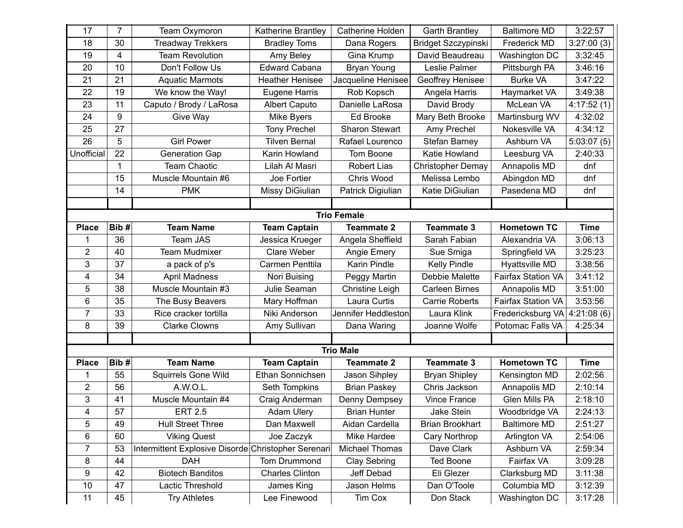| 17                      | 7            | Team Oxymoron                                       | Katherine Brantley     | Catherine Holden       | <b>Garth Brantley</b>      | <b>Baltimore MD</b> | 3:22:57     |
|-------------------------|--------------|-----------------------------------------------------|------------------------|------------------------|----------------------------|---------------------|-------------|
| 18                      | 30           | <b>Treadway Trekkers</b>                            | <b>Bradley Toms</b>    | Dana Rogers            | <b>Bridget Szczypinski</b> | Frederick MD        | 3:27:00(3)  |
| 19                      | 4            | <b>Team Revolution</b>                              | Amy Beley              | Gina Krump             | David Beaudreau            | Washington DC       | 3:32:45     |
| 20                      | 10           | Don't Follow Us                                     | <b>Edward Cabana</b>   | Bryan Young            | Leslie Palmer              | Pittsburgh PA       | 3:46:16     |
| 21                      | 21           | <b>Aquatic Marmots</b>                              | <b>Heather Henisee</b> | Jacqueline Henisee     | Geoffrey Henisee           | <b>Burke VA</b>     | 3:47:22     |
| 22                      | 19           | We know the Way!                                    | Eugene Harris          | Rob Kopsch             | Angela Harris              | Haymarket VA        | 3:49:38     |
| 23                      | 11           | Caputo / Brody / LaRosa                             | <b>Albert Caputo</b>   | Danielle LaRosa        | David Brody                | McLean VA           | 4:17:52(1)  |
| 24                      | 9            | Give Way                                            | Mike Byers             | Ed Brooke              | Mary Beth Brooke           | Martinsburg WV      | 4:32:02     |
| 25                      | 27           |                                                     | <b>Tony Prechel</b>    | Sharon Stewart         | Amy Prechel                | Nokesville VA       | 4:34:12     |
| 26                      | 5            | <b>Girl Power</b>                                   | <b>Tilven Bernal</b>   | Rafael Lourenco        | <b>Stefan Barney</b>       | Ashburn VA          | 5:03:07(5)  |
| Unofficial              | 22           | <b>Generation Gap</b>                               | Karin Howland          | Tom Boone              | Katie Howland              | Leesburg VA         | 2:40:33     |
|                         | $\mathbf{1}$ | <b>Team Chaotic</b>                                 | Lilah Al Masri         | <b>Robert Lias</b>     | <b>Christopher Demay</b>   | Annapolis MD        | dnf         |
|                         | 15           | Muscle Mountain #6                                  | Joe Fortier            | Chris Wood             | Melissa Lembo              | Abingdon MD         | dnf         |
|                         | 14           | <b>PMK</b>                                          | Missy DiGiulian        | Patrick Digiulian      | Katie DiGiulian            | Pasedena MD         | dnf         |
|                         |              |                                                     |                        |                        |                            |                     |             |
|                         |              |                                                     |                        | <b>Trio Female</b>     |                            |                     |             |
| <b>Place</b>            | Bib#         | <b>Team Name</b>                                    | <b>Team Captain</b>    | <b>Teammate 2</b>      | <b>Teammate 3</b>          | <b>Hometown TC</b>  | <b>Time</b> |
| 1                       | 36           | <b>Team JAS</b>                                     | Jessica Krueger        | Angela Sheffield       | Sarah Fabian               | Alexandria VA       | 3:06:13     |
| $\overline{2}$          | 40           | <b>Team Mudmixer</b>                                | Clare Weber            | Angie Emery            | Sue Smiga                  | Springfield VA      | 3:25:23     |
| 3                       | 37           | a pack of p's                                       | Carmen Penttila        | Karin Pindle           | <b>Kelly Pindle</b>        | Hyattsville MD      | 3:38:56     |
| 4                       | 34           | <b>April Madness</b>                                | Nori Buising           | Peggy Martin           | Debbie Malette             | Fairfax Station VA  | 3:41:12     |
| 5                       | 38           | Muscle Mountain #3                                  | Julie Seaman           | <b>Christine Leigh</b> | <b>Carleen Birnes</b>      | Annapolis MD        | 3:51:00     |
| 6                       | 35           | The Busy Beavers                                    | Mary Hoffman           | Laura Curtis           | <b>Carrie Roberts</b>      | Fairfax Station VA  | 3:53:56     |
| 7                       | 33           | Rice cracker tortilla                               | Niki Anderson          | Jennifer Heddleston    | Laura Klink                | Fredericksburg VA   | 4:21:08(6)  |
| 8                       | 39           | <b>Clarke Clowns</b>                                | Amy Sullivan           | Dana Waring            | Joanne Wolfe               | Potomac Falls VA    | 4:25:34     |
|                         |              |                                                     |                        |                        |                            |                     |             |
|                         |              |                                                     |                        | <b>Trio Male</b>       |                            |                     |             |
| <b>Place</b>            | Bib#         | <b>Team Name</b>                                    | <b>Team Captain</b>    | <b>Teammate 2</b>      | <b>Teammate 3</b>          | <b>Hometown TC</b>  | <b>Time</b> |
| 1                       | 55           | Squirrels Gone Wild                                 | Ethan Sonnichsen       | Jason Sihpley          | <b>Bryan Shipley</b>       | Kensington MD       | 2:02:56     |
| $\overline{\mathbf{c}}$ | 56           | A.W.O.L.                                            | Seth Tompkins          | <b>Brian Paskey</b>    | Chris Jackson              | Annapolis MD        | 2:10:14     |
| 3                       | 41           | Muscle Mountain #4                                  | Craig Anderman         | Denny Dempsey          | Vince France               | Glen Mills PA       | 2:18:10     |
| 4                       | 57           | <b>ERT 2.5</b>                                      | <b>Adam Ulery</b>      | <b>Brian Hunter</b>    | Jake Stein                 | Woodbridge VA       | 2:24:13     |
| 5                       | 49           | <b>Hull Street Three</b>                            | Dan Maxwell            | Aidan Cardella         | <b>Brian Brookhart</b>     | <b>Baltimore MD</b> | 2:51:27     |
| 6                       | 60           | <b>Viking Quest</b>                                 | Joe Zaczyk             | Mike Hardee            | Cary Northrop              | Arlington VA        | 2:54:06     |
| 7                       | 53           | Intermittent Explosive Disorde Christopher Serenari |                        | <b>Michael Thomas</b>  | Dave Clark                 | Ashburn VA          | 2:59:34     |
| 8                       | 44           | <b>DAH</b>                                          | Tom Drummond           | Clay Sebring           | <b>Ted Boone</b>           | Fairfax VA          | 3:09:28     |
| 9                       | 42           | <b>Biotech Banditos</b>                             | <b>Charles Clinton</b> | Jeff Debad             | Eli Glezer                 | Clarksburg MD       | 3:11:38     |
| 10                      | 47           | Lactic Threshold                                    | James King             | Jason Helms            | Dan O'Toole                | Columbia MD         | 3:12:39     |
| 11                      | 45           | <b>Try Athletes</b>                                 | Lee Finewood           | Tim Cox                | Don Stack                  | Washington DC       | 3:17:28     |